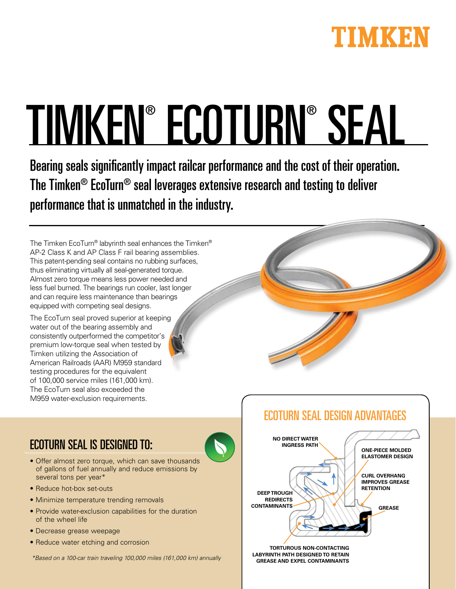

# TIMKEN® ECOTURN® SEAL

Bearing seals significantly impact railcar performance and the cost of their operation. The Timken® EcoTurn® seal leverages extensive research and testing to deliver performance that is unmatched in the industry.

The Timken EcoTurn® labyrinth seal enhances the Timken® AP-2 Class K and AP Class F rail bearing assemblies. This patent-pending seal contains no rubbing surfaces, thus eliminating virtually all seal-generated torque. Almost zero torque means less power needed and less fuel burned. The bearings run cooler, last longer and can require less maintenance than bearings equipped with competing seal designs.

The EcoTurn seal proved superior at keeping water out of the bearing assembly and consistently outperformed the competitor's premium low-torque seal when tested by Timken utilizing the Association of American Railroads (AAR) M959 standard testing procedures for the equivalent of 100,000 service miles (161,000 km). The EcoTurn seal also exceeded the M959 water-exclusion requirements.

ECOTURN SEAL IS DESIGNED TO:

- Offer almost zero torque, which can save thousands of gallons of fuel annually and reduce emissions by several tons per year\*
- Reduce hot-box set-outs
- Minimize temperature trending removals
- Provide water-exclusion capabilities for the duration of the wheel life
- Decrease grease weepage
- Reduce water etching and corrosion

\*Based on a 100-car train traveling 100,000 miles (161,000 km) annually



**TORTUROUS NON-CONTACTING LABYRINTH PATH DESIGNED TO RETAIN GREASE AND EXPEL CONTAMINANTS**